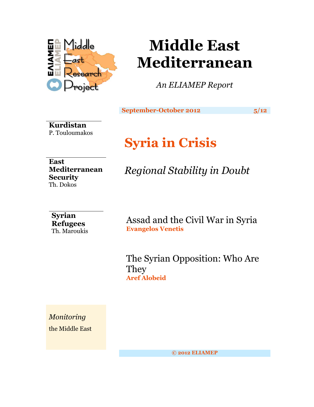

# **Middle East Mediterranean**

*An ELIAMEP Report*

**September-October 2012** 5/12

**Kurdistan** P. Touloumakos

## **Syria in Crisis**

**East Mediterranean Security** Th. Dokos

*Regional Stability in Doubt*

### **Syrian Refugees** Th. Maroukis

Assad and the Civil War in Syria **Evangelos Venetis**

The Syrian Opposition: Who Are **They Aref Alobeid**

*Monitoring* the Middle East

**© 2012 ELIAMEP**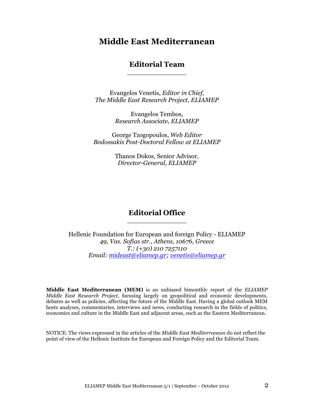## **Middle East Mediterranean**

#### **Editorial Team** \_\_\_\_\_\_\_\_\_\_\_\_\_\_\_

Evangelos Venetis, *Editor in Chief, The Middle East Research Project, ELIAMEP*

> Evangelos Tembos, *Research Associate, ELIAMEP*

George Tzogopoulos, *Web Editor Bodossakis Post-Doctoral Fellow at ELIAMEP*

> Thanos Dokos, Senior Advisor*, Director-General, ELIAMEP*

### **Editorial Office** \_\_\_\_\_\_\_\_\_\_\_\_\_\_\_

Hellenic Foundation for European and foreign Policy - ELIAMEP *49, Vas. Sofias str., Athens, 10676, Greece T.: (+30) 210 7257110 Email: [mideast@eliamep.gr;](mailto:mideast@eliamep.gr) [venetis@eliamep.gr](mailto:venetis@eliamep.gr)*

**Middle East Mediterranean (MEM)** is an unbiased bimonthly report of the *ELIAMEP Middle East Research Project*, focusing largely on geopolitical and economic developments, debates as well as policies, affecting the future of the Middle East. Having a global outlook MEM hosts analyses, commentaries, interviews and news, conducting research in the fields of politics, economics and culture in the Middle East and adjacent areas, such as the Eastern Mediterranean.

NOTICE: The views expressed in the articles of the *Middle East Mediterranean* do not reflect the point of view of the Hellenic Institute for European and Foreign Policy and the Editorial Team.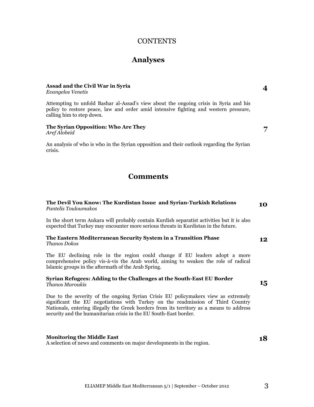#### **CONTENTS**

#### **Analyses**

#### **Assad and the Civil War in Syria** *Evangelos Venetis*

Attempting to unfold Bashar al-Assad's view about the ongoing crisis in Syria and his policy to restore peace, law and order amid intensive fighting and western pressure, calling him to step down.

### **The Syrian Opposition: Who Are They**

*Aref Alobeid*

An analysis of who is who in the Syrian opposition and their outlook regarding the Syrian crisis.

### **Comments**

#### **The Devil You Know: The Kurdistan Issue and Syrian-Turkish Relations** *Pantelis Touloumakos* **10**

In the short term Ankara will probably contain Kurdish separatist activities but it is also expected that Turkey may encounter more serious threats in Kurdistan in the future.

#### **The Eastern Mediterranean Security System in a Transition Phase** *Thanos Dokos* **12**

The EU declining role in the region could change if EU leaders adopt a more comprehensive policy vis-à-vis the Arab world, aiming to weaken the role of radical Islamic groups in the aftermath of the Arab Spring.

#### **Syrian Refugees: Adding to the Challenges at the South-East EU Border**  *Thanos Maroukis*

Due to the severity of the ongoing Syrian Crisis EU policymakers view as extremely significant the EU negotiations with Turkey on the readmission of Third Country Nationals, entering illegally the Greek borders from its territory as a means to address security and the humanitarian crisis in the EU South-East border.

**Monitoring the Middle East** A selection of news and comments on major developments in the region. **18**

**15**

**4**

**7**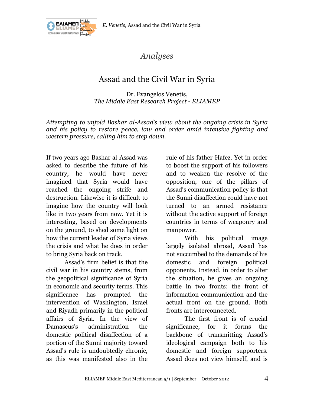



*Analyses*

## Assad and the Civil War in Syria

Dr. Evangelos Venetis, *The Middle East Research Project - ELIAMEP*

*Attempting to unfold Bashar al-Assad's view about the ongoing crisis in Syria and his policy to restore peace, law and order amid intensive fighting and western pressure, calling him to step down.*

If two years ago Bashar al-Assad was asked to describe the future of his country, he would have never imagined that Syria would have reached the ongoing strife and destruction. Likewise it is difficult to imagine how the country will look like in two years from now. Yet it is interesting, based on developments on the ground, to shed some light on how the current leader of Syria views the crisis and what he does in order to bring Syria back on track.

Assad's firm belief is that the civil war in his country stems, from the geopolitical significance of Syria in economic and security terms. This significance has prompted the intervention of Washington, Israel and Riyadh primarily in the political affairs of Syria. In the view of Damascus's administration the domestic political disaffection of a portion of the Sunni majority toward Assad's rule is undoubtedly chronic, as this was manifested also in the

rule of his father Hafez. Yet in order to boost the support of his followers and to weaken the resolve of the opposition, one of the pillars of Assad's communication policy is that the Sunni disaffection could have not turned to an armed resistance without the active support of foreign countries in terms of weaponry and manpower.

With his political image largely isolated abroad, Assad has not succumbed to the demands of his domestic and foreign political opponents. Instead, in order to alter the situation, he gives an ongoing battle in two fronts: the front of information-communication and the actual front on the ground. Both fronts are interconnected.

The first front is of crucial significance, for it forms the backbone of transmitting Assad's ideological campaign both to his domestic and foreign supporters. Assad does not view himself, and is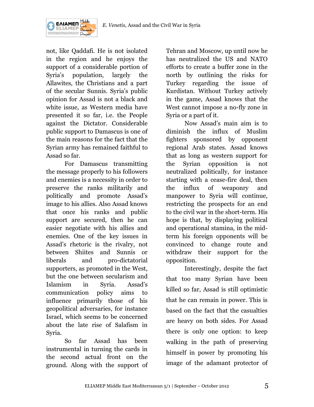

not, like Qaddafi. He is not isolated in the region and he enjoys the support of a considerable portion of Syria's population, largely the Allawites, the Christians and a part of the secular Sunnis. Syria's public opinion for Assad is not a black and white issue, as Western media have presented it so far, i.e. the People against the Dictator. Considerable public support to Damascus is one of the main reasons for the fact that the Syrian army has remained faithful to Assad so far.

For Damascus transmitting the message properly to his followers and enemies is a necessity in order to preserve the ranks militarily and politically and promote Assad's image to his allies. Also Assad knows that once his ranks and public support are secured, then he can easier negotiate with his allies and enemies. One of the key issues in Assad's rhetoric is the rivalry, not between Shiites and Sunnis or liberals and pro-dictatorial supporters, as promoted in the West, but the one between secularism and Islamism in Syria. Assad's communication policy aims to influence primarily those of his geopolitical adversaries, for instance Israel, which seems to be concerned about the late rise of Salafism in Syria.

So far Assad has been instrumental in turning the cards in the second actual front on the ground. Along with the support of

Tehran and Moscow, up until now he has neutralized the US and NATO efforts to create a buffer zone in the north by outlining the risks for Turkey regarding the issue of Kurdistan. Without Turkey actively in the game, Assad knows that the West cannot impose a no-fly zone in Syria or a part of it.

Now Assad's main aim is to diminish the influx of Muslim fighters sponsored by opponent regional Arab states. Assad knows that as long as western support for the Syrian opposition is not neutralized politically, for instance starting with a cease-fire deal, then the influx of weaponry and manpower to Syria will continue, restricting the prospects for an end to the civil war in the short-term. His hope is that, by displaying political and operational stamina, in the midterm his foreign opponents will be convinced to change route and withdraw their support for the opposition.

Interestingly, despite the fact that too many Syrian have been killed so far, Assad is still optimistic that he can remain in power. This is based on the fact that the casualties are heavy on both sides. For Assad there is only one option: to keep walking in the path of preserving himself in power by promoting his image of the adamant protector of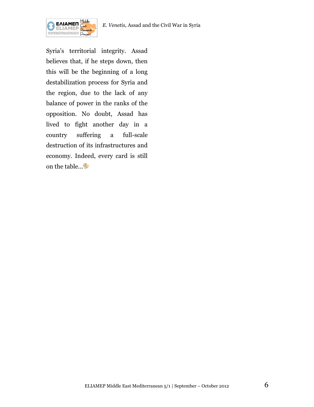

Syria's territorial integrity. Assad believes that, if he steps down, then this will be the beginning of a long destabilization process for Syria and the region, due to the lack of any balance of power in the ranks of the opposition. No doubt, Assad has lived to fight another day in a country suffering a full-scale destruction of its infrastructures and economy. Indeed, every card is still on the table…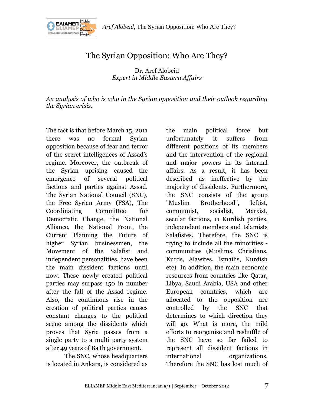

## The Syrian Opposition: Who Are They?

Dr. Aref Alobeid *Expert in Middle Eastern Affairs*

*An analysis of who is who in the Syrian opposition and their outlook regarding the Syrian crisis.*

The fact is that before March 15, 2011 there was no formal Syrian opposition because of fear and terror of the secret intelligences of Assad's regime. Moreover, the outbreak of the Syrian uprising caused the emergence of several political factions and parties against Assad. The Syrian National Council (SNC), the Free Syrian Army (FSA), The Coordinating Committee for Democratic Change, the National Alliance, the National Front, the Current Planning the Future of higher Syrian businessmen, the Movement of the Salafist and independent personalities, have been the main dissident factions until now. These newly created political parties may surpass 150 in number after the fall of the Assad regime. Also, the continuous rise in the creation of political parties causes constant changes to the political scene among the dissidents which proves that Syria passes from a single party to a multi party system after 49 years of Ba'th government.

The SNC, whose headquarters is located in Ankara, is considered as

the main political force but unfortunately it suffers from different positions of its members and the intervention of the regional and major powers in its internal affairs. As a result, it has been described as ineffective by the majority of dissidents. Furthermore, the SNC consists of the group "Muslim Brotherhood", leftist, communist, socialist, Marxist, secular factions, 11 Kurdish parties, independent members and Islamists Salafistes. Therefore, the SNC is trying to include all the minorities communities (Muslims, Christians, Kurds, Alawites, Ismailis, Kurdish etc). In addition, the main economic resources from countries like Qatar, Libya, Saudi Arabia, USA and other European countries, which are allocated to the opposition are controlled by the SNC that determines to which direction they will go. What is more, the mild efforts to reorganize and reshuffle of the SNC have so far failed to represent all dissident factions in international organizations. Therefore the SNC has lost much of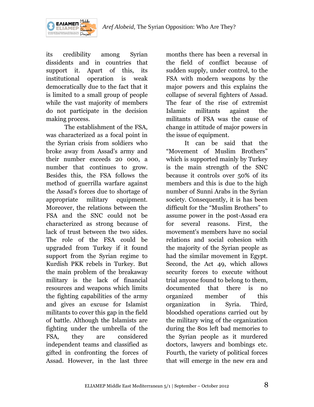

its credibility among Syrian dissidents and in countries that support it. Apart of this, its institutional operation is weak democratically due to the fact that it is limited to a small group of people while the vast majority of members do not participate in the decision making process.

The establishment of the FSA, was characterized as a focal point in the Syrian crisis from soldiers who broke away from Assad's army and their number exceeds 20 000, a number that continues to grow. Besides this, the FSA follows the method of guerrilla warfare against the Assad's forces due to shortage of appropriate military equipment. Moreover, the relations between the FSA and the SNC could not be characterized as strong because of lack of trust between the two sides. The role of the FSA could be upgraded from Turkey if it found support from the Syrian regime to Kurdish PKK rebels in Turkey. But the main problem of the breakaway military is the lack of financial resources and weapons which limits the fighting capabilities of the army and gives an excuse for Islamist militants to cover this gap in the field of battle. Although the Islamists are fighting under the umbrella of the FSA, they are considered independent teams and classified as gifted in confronting the forces of Assad. However, in the last three

months there has been a reversal in the field of conflict because of sudden supply, under control, to the FSA with modern weapons by the major powers and this explains the collapse of several fighters of Assad. The fear of the rise of extremist Islamic militants against the militants of FSA was the cause of change in attitude of major powers in the issue of equipment.

It can be said that the "Movement of Muslim Brothers" which is supported mainly by Turkey is the main strength of the SNC because it controls over 50% of its members and this is due to the high number of Sunni Arabs in the Syrian society. Consequently, it is has been difficult for the "Muslim Brothers" to assume power in the post-Assad era for several reasons. First, the movement's members have no social relations and social cohesion with the majority of the Syrian people as had the similar movement in Egypt. Second, the Act 49, which allows security forces to execute without trial anyone found to belong to them, documented that there is no organized member of this organization in Syria. Third, bloodshed operations carried out by the military wing of the organization during the 80s left bad memories to the Syrian people as it murdered doctors, lawyers and bombings etc. Fourth, the variety of political forces that will emerge in the new era and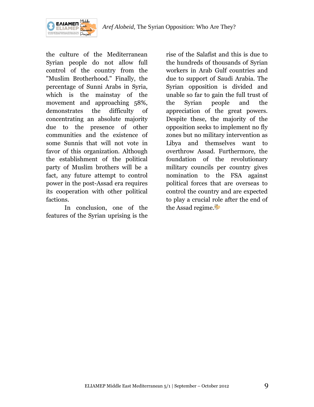

the culture of the Mediterranean Syrian people do not allow full control of the country from the "Muslim Brotherhood." Finally, the percentage of Sunni Arabs in Syria, which is the mainstay of the movement and approaching 58%, demonstrates the difficulty of concentrating an absolute majority due to the presence of other communities and the existence of some Sunnis that will not vote in favor of this organization. Although the establishment of the political party of Muslim brothers will be a fact, any future attempt to control power in the post-Assad era requires its cooperation with other political factions.

In conclusion, one of the features of the Syrian uprising is the

rise of the Salafist and this is due to the hundreds of thousands of Syrian workers in Arab Gulf countries and due to support of Saudi Arabia. The Syrian opposition is divided and unable so far to gain the full trust of the Syrian people and the appreciation of the great powers. Despite these, the majority of the opposition seeks to implement no fly zones but no military intervention as Libya and themselves want to overthrow Assad. Furthermore, the foundation of the revolutionary military councils per country gives nomination to the FSA against political forces that are overseas to control the country and are expected to play a crucial role after the end of the Assad regime.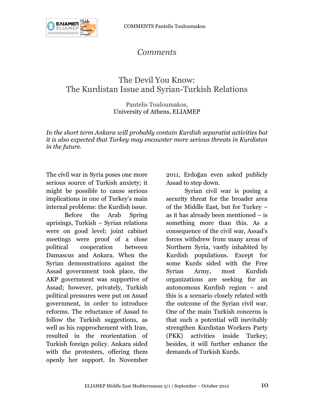## *Comments*

## The Devil You Know: The Kurdistan Issue and Syrian-Turkish Relations

#### Pantelis Touloumakos, University of Athens*,* ELIAMEP

*In the short term Ankara will probably contain Kurdish separatist activities but it is also expected that Turkey may encounter more serious threats in Kurdistan in the future.*

The civil war in Syria poses one more serious source of Turkish anxiety; it might be possible to cause serious implications in one of Turkey's main internal problems: the Kurdish issue.

Before the Arab Spring uprisings, Turkish – Syrian relations were on good level; joint cabinet meetings were proof of a close political cooperation between Damascus and Ankara. When the Syrian demonstrations against the Assad government took place, the AKP government was supportive of Assad; however, privately, Turkish political pressures were put on Assad government, in order to introduce reforms. The reluctance of Assad to follow the Turkish suggestions, as well as his rapprochement with Iran, resulted in the reorientation of Turkish foreign policy. Ankara sided with the protesters, offering them openly her support. In November

2011, Erdoğan even asked publicly Assad to step down.

Syrian civil war is posing a security threat for the broader area of the Middle East, but for Turkey – as it has already been mentioned – is something more than this. As a consequence of the civil war, Assad's forces withdrew from many areas of Northern Syria, vastly inhabited by Kurdish populations. Except for some Kurds sided with the Free Syrian Army, most Kurdish organizations are seeking for an autonomous Kurdish region – and this is a scenario closely related with the outcome of the Syrian civil war. One of the main Turkish concerns is that such a potential will inevitably strengthen Kurdistan Workers Party (PKK) activities inside Turkey; besides, it will further enhance the demands of Turkish Kurds.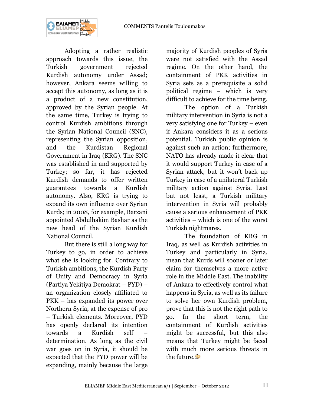

Adopting a rather realistic approach towards this issue, the Turkish government rejected Kurdish autonomy under Assad; however, Ankara seems willing to accept this autonomy, as long as it is a product of a new constitution, approved by the Syrian people. At the same time, Turkey is trying to control Kurdish ambitions through the Syrian National Council (SNC), representing the Syrian opposition, and the Kurdistan Regional Government in Iraq (KRG). The SNC was established in and supported by Turkey; so far, it has rejected Kurdish demands to offer written guarantees towards a Kurdish autonomy. Also, KRG is trying to expand its own influence over Syrian Kurds; in 2008, for example, Barzani appointed Abdulhakim Bashar as the new head of the Syrian Kurdish National Council.

But there is still a long way for Turkey to go, in order to achieve what she is looking for. Contrary to Turkish ambitions, the Kurdish Party of Unity and Democracy in Syria (Partiya Yekîtiya Demokrat – PYD) – an organization closely affiliated to PKK – has expanded its power over Northern Syria, at the expense of pro – Turkish elements. Moreover, PYD has openly declared its intention towards a Kurdish self – determination. As long as the civil war goes on in Syria, it should be expected that the PYD power will be expanding, mainly because the large

majority of Kurdish peoples of Syria were not satisfied with the Assad regime. On the other hand, the containment of PKK activities in Syria sets as a prerequisite a solid political regime – which is very difficult to achieve for the time being.

The option of a Turkish military intervention in Syria is not a very satisfying one for Turkey – even if Ankara considers it as a serious potential. Turkish public opinion is against such an action; furthermore, NATO has already made it clear that it would support Turkey in case of a Syrian attack, but it won't back up Turkey in case of a unilateral Turkish military action against Syria. Last but not least, a Turkish military intervention in Syria will probably cause a serious enhancement of PKK activities – which is one of the worst Turkish nightmares.

The foundation of KRG in Iraq, as well as Kurdish activities in Turkey and particularly in Syria, mean that Kurds will sooner or later claim for themselves a more active role in the Middle East. The inability of Ankara to effectively control what happens in Syria, as well as its failure to solve her own Kurdish problem, prove that this is not the right path to go. In the short term, the containment of Kurdish activities might be successful, but this also means that Turkey might be faced with much more serious threats in the future.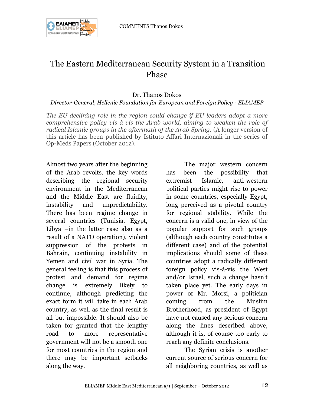

## The Eastern Mediterranean Security System in a Transition Phase

#### Dr. Thanos Dokos

#### *Director-General, Hellenic Foundation for European and Foreign Policy - ELIAMEP*

*The EU declining role in the region could change if EU leaders adopt a more comprehensive policy vis-à-vis the Arab world, aiming to weaken the role of radical Islamic groups in the aftermath of the Arab Spring.* (A longer version of this article has been published by Istituto Affari Internazionali in the series of Op-Meds Papers (October 2012).

Almost two years after the beginning of the Arab revolts, the key words describing the regional security environment in the Mediterranean and the Middle East are fluidity, instability and unpredictability. There has been regime change in several countries (Tunisia, Egypt, Libya –in the latter case also as a result of a NATO operation), violent suppression of the protests in Bahrain, continuing instability in Yemen and civil war in Syria. The general feeling is that this process of protest and demand for regime change is extremely likely to continue, although predicting the exact form it will take in each Arab country, as well as the final result is all but impossible. It should also be taken for granted that the lengthy road to more representative government will not be a smooth one for most countries in the region and there may be important setbacks along the way.

The major western concern has been the possibility that extremist Islamic, anti-western political parties might rise to power in some countries, especially Egypt, long perceived as a pivotal country for regional stability. While the concern is a valid one, in view of the popular support for such groups (although each country constitutes a different case) and of the potential implications should some of these countries adopt a radically different foreign policy vis-à-vis the West and/or Israel, such a change hasn't taken place yet. The early days in power of Mr. Morsi, a politician coming from the Muslim Brotherhood, as president of Egypt have not caused any serious concern along the lines described above, although it is, of course too early to reach any definite conclusions.

The Syrian crisis is another current source of serious concern for all neighboring countries, as well as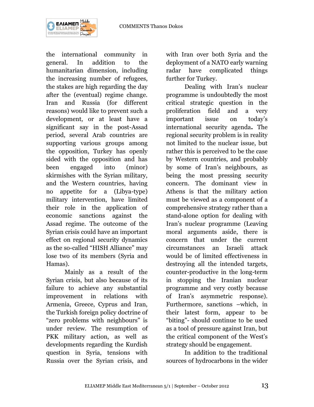

the international community in general. In addition to the humanitarian dimension, including the increasing number of refugees, the stakes are high regarding the day after the (eventual) regime change. Iran and Russia (for different reasons) would like to prevent such a development, or at least have a significant say in the post-Assad period, several Arab countries are supporting various groups among the opposition, Turkey has openly sided with the opposition and has been engaged into (minor) skirmishes with the Syrian military, and the Western countries, having no appetite for a (Libya-type) military intervention, have limited their role in the application of economic sanctions against the Assad regime. The outcome of the Syrian crisis could have an important effect on regional security dynamics as the so-called "HISH Alliance" may lose two of its members (Syria and Hamas).

Mainly as a result of the Syrian crisis, but also because of its failure to achieve any substantial improvement in relations with Armenia, Greece, Cyprus and Iran, the Turkish foreign policy doctrine of "zero problems with neighbours" is under review. The resumption of PKK military action, as well as developments regarding the Kurdish question in Syria, tensions with Russia over the Syrian crisis, and

with Iran over both Syria and the deployment of a NATO early warning radar have complicated things further for Turkey.

Dealing with Iran's nuclear programme is undoubtedly the most critical strategic question in the proliferation field and a very important issue on today's international security agenda**.** The regional security problem is in reality not limited to the nuclear issue, but rather this is perceived to be the case by Western countries, and probably by some of Iran's neighbours, as being the most pressing security concern. The dominant view in Athens is that the military action must be viewed as a component of a comprehensive strategy rather than a stand-alone option for dealing with Iran's nuclear programme (Leaving moral arguments aside, there is concern that under the current circumstances an Israeli attack would be of limited effectiveness in destroying all the intended targets, counter-productive in the long-term in stopping the Iranian nuclear programme and very costly because of Iran's asymmetric response). Furthermore, sanctions –which, in their latest form, appear to be "biting"- should continue to be used as a tool of pressure against Iran, but the critical component of the West's strategy should be engagement.

In addition to the traditional sources of hydrocarbons in the wider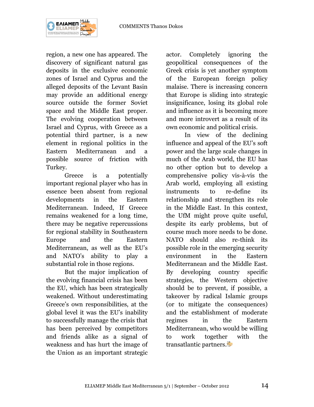

region, a new one has appeared. The discovery of significant natural gas deposits in the exclusive economic zones of Israel and Cyprus and the alleged deposits of the Levant Basin may provide an additional energy source outside the former Soviet space and the Middle East proper. The evolving cooperation between Israel and Cyprus, with Greece as a potential third partner, is a new element in regional politics in the Eastern Mediterranean and a possible source of friction with Turkey.

Greece is a potentially important regional player who has in essence been absent from regional developments in the Eastern Mediterranean. Indeed, If Greece remains weakened for a long time, there may be negative repercussions for regional stability in Southeastern Europe and the Eastern Mediterranean, as well as the EU's and NATO's ability to play a substantial role in those regions.

But the major implication of the evolving financial crisis has been the EU, which has been strategically weakened. Without underestimating Greece's own responsibilities, at the global level it was the EU's inability to successfully manage the crisis that has been perceived by competitors and friends alike as a signal of weakness and has hurt τhe image of the Union as an important strategic

actor. Completely ignoring the geopolitical consequences of the Greek crisis is yet another symptom of the European foreign policy malaise. There is increasing concern that Europe is sliding into strategic insignificance, losing its global role and influence as it is becoming more and more introvert as a result of its own economic and political crisis.

In view of the declining influence and appeal of the EU's soft power and the large scale changes in much of the Arab world, the EU has no other option but to develop a comprehensive policy vis-à-vis the Arab world, employing all existing instruments to re-define its relationship and strengthen its role in the Middle East. In this context, the UfM might prove quite useful, despite its early problems, but of course much more needs to be done. NATO should also re-think its possible role in the emerging security environment in the Eastern Mediterranean and the Middle East. By developing country specific strategies, the Western objective should be to prevent, if possible, a takeover by radical Islamic groups (or to mitigate the consequences) and the establishment of moderate regimes in the Eastern Mediterranean, who would be willing to work together with the transatlantic partners.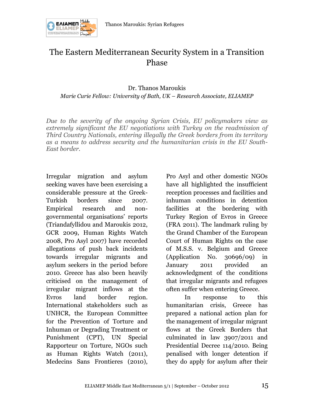

## The Eastern Mediterranean Security System in a Transition Phase

Dr. Thanos Maroukis *Marie Curie Fellow: University of Bath, UK – Research Associate, ELIAMEP*

*Due to the severity of the ongoing Syrian Crisis, EU policymakers view as extremely significant the EU negotiations with Turkey on the readmission of Third Country Nationals, entering illegally the Greek borders from its territory as a means to address security and the humanitarian crisis in the EU South-East border.*

Irregular migration and asylum seeking waves have been exercising a considerable pressure at the Greek-Turkish borders since 2007. Empirical research and nongovernmental organisations' reports (Triandafyllidou and Maroukis 2012, GCR 2009, Human Rights Watch 2008, Pro Asyl 2007) have recorded allegations of push back incidents towards irregular migrants and asylum seekers in the period before 2010. Greece has also been heavily criticised on the management of irregular migrant inflows at the Evros land border region. International stakeholders such as UNHCR, the European Committee for the Prevention of Torture and Inhuman or Degrading Treatment or Punishment (CPT), UN Special Rapporteur on Torture, NGOs such as Human Rights Watch (2011), Medecins Sans Frontieres (2010),

Pro Asyl and other domestic NGOs have all highlighted the insufficient reception processes and facilities and inhuman conditions in detention facilities at the bordering with Turkey Region of Evros in Greece (FRA 2011). The landmark ruling by the Grand Chamber of the European Court of Human Rights on the case of M.S.S. v. Belgium and Greece (Application No. 30696/09) in January 2011 provided an acknowledgment of the conditions that irregular migrants and refugees often suffer when entering Greece.

In response to this humanitarian crisis, Greece has prepared a national action plan for the management of irregular migrant flows at the Greek Borders that culminated in law 3907/2011 and Presidential Decree 114/2010. Being penalised with longer detention if they do apply for asylum after their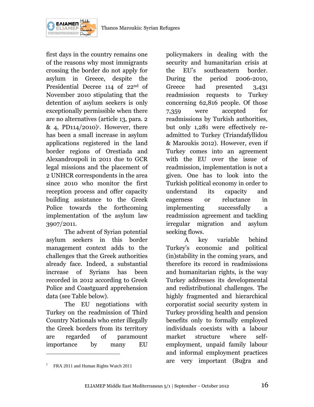

first days in the country remains one of the reasons why most immigrants crossing the border do not apply for asylum in Greece, despite the Presidential Decree 114 of 22nd of November 2010 stipulating that the detention of asylum seekers is only exceptionally permissible when there are no alternatives (article 13, para. 2 & 4, PD114/2010)<sup>1</sup>. However, there has been a small increase in asylum applications registered in the land border regions of Orestiada and Alexandroupoli in 2011 due to GCR legal missions and the placement of 2 UNHCR correspondents in the area since 2010 who monitor the first reception process and offer capacity building assistance to the Greek Police towards the forthcoming implementation of the asylum law 3907/2011.

The advent of Syrian potential asylum seekers in this border management context adds to the challenges that the Greek authorities already face. Indeed, a substantial increase of Syrians has been recorded in 2012 according to Greek Police and Coastguard apprehension data (see Table below).

The EU negotiations with Turkey on the readmission of Third Country Nationals who enter illegally the Greek borders from its territory are regarded of paramount importance by many EU

policymakers in dealing with the security and humanitarian crisis at the EU's southeastern border. During the period 2006-2010, Greece had presented 3,431 readmission requests to Turkey concerning 62,816 people. Of those 7,359 were accepted for readmissions by Turkish authorities, but only 1,281 were effectively readmitted to Turkey (Triandafyllidou & Maroukis 2012). However, even if Turkey comes into an agreement with the EU over the issue of readmission, implementation is not a given. One has to look into the Turkish political economy in order to understand its capacity and eagerness or reluctance in implementing successfully a readmission agreement and tackling irregular migration and asylum seeking flows.

A key variable behind Turkey's economic and political (in)stability in the coming years, and therefore its record in readmissions and humanitarian rights, is the way Turkey addresses its developmental and redistributional challenges. The highly fragmented and hierarchical corporatist social security system in Turkey providing health and pension benefits only to formally employed individuals coexists with a labour market structure where selfemployment, unpaid family labour and informal employment practices are very important (Buğra and

 $\overline{a}$ 

<sup>&</sup>lt;sup>1</sup> FRA 2011 and Human Rights Watch 2011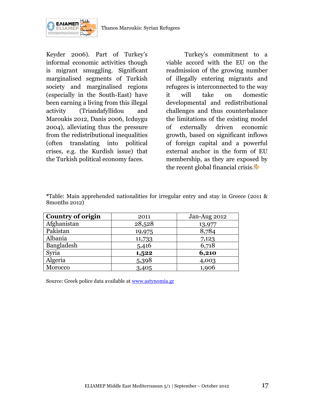

Keyder 2006). Part of Turkey's informal economic activities though is migrant smuggling. Significant marginalised segments of Turkish society and marginalised regions (especially in the South-East) have been earning a living from this illegal activity (Triandafyllidou and Maroukis 2012, Danis 2006, Icduygu 2004), alleviating thus the pressure from the redistributional inequalities (often translating into political crises, e.g. the Kurdish issue) that the Turkish political economy faces.

Turkey's commitment to a viable accord with the EU on the readmission of the growing number of illegally entering migrants and refugees is interconnected to the way it will take on domestic developmental and redistributional challenges and thus counterbalance the limitations of the existing model of externally driven economic growth, based on significant inflows of foreign capital and a powerful external anchor in the form of EU membership, as they are exposed by the recent global financial crisis.

|                | *Table: Main apprehended nationalities for irregular entry and stay in Greece (2011 & |  |  |  |  |  |
|----------------|---------------------------------------------------------------------------------------|--|--|--|--|--|
| 8 months 2012) |                                                                                       |  |  |  |  |  |

| <b>Country of origin</b> | 2011   | Jan-Aug 2012 |
|--------------------------|--------|--------------|
| Afghanistan              | 28,528 | 13,977       |
| Pakistan                 | 19,975 | 8,784        |
| Albania                  | 11,733 | 7,123        |
| Bangladesh               | 5,416  | 6,718        |
| Syria                    | 1,522  | 6,210        |
| Algeria                  | 5,398  | 4,003        |
| Morocco                  | 3,405  | 1,906        |

Source: Greek police data available at [www.astynomia.gr](http://www.astynomia.gr/)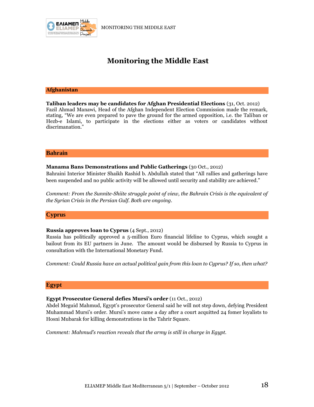

## **Monitoring the Middle East**

#### **Afghanistan**

**Taliban leaders may be candidates for Afghan Presidential Elections** (31, Oct. 2012) Fazil Ahmad Manawi, Head of the Afghan Independent Election Commission made the remark, stating, "We are even prepared to pave the ground for the armed opposition, i.e. the Taliban or Hezb-e Islami, to participate in the elections either as voters or candidates without discrimanation."

#### **Bahrain**

#### **Manama Bans Demonstrations and Public Gatherings** (30 Oct., 2012)

Bahraini Interior Minister Shaikh Rashid b. Abdullah stated that "All rallies and gatherings have been suspended and no public activity will be allowed until security and stability are achieved."

*Comment: From the Sunnite-Shiite struggle point of view, the Bahrain Crisis is the equivalent of the Syrian Crisis in the Persian Gulf. Both are ongoing.*

#### **Cyprus**

#### **Russia approves loan to Cyprus** (4 Sept., 2012)

Russia has politically approved a 5-million Euro financial lifeline to Cyprus, which sought a bailout from its EU partners in June. The amount would be disbursed by Russia to Cyprus in consultation with the International Monetary Fund.

*Comment: Could Russia have an actual political gain from this loan to Cyprus? If so, then what?*

#### **Egypt**

#### **Egypt Prosecutor General defies Mursi's order** (11 Oct., 2012)

Abdel Meguid Mahmud, Egypt's prosecutor General said he will not step down, defying President Muhammad Mursi's order. Mursi's move came a day after a court acquitted 24 fomer loyalists to Hosni Mubarak for killing demonstrations in the Tahrir Square.

*Comment: Mahmud's reaction reveals that the army is still in charge in Egypt.*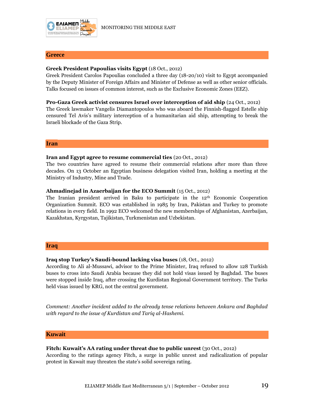

#### **Greece**

#### **Greek President Papoulias visits Egypt** (18 Oct., 2012)

Greek President Carolos Papoulias concluded a three day (18-20/10) visit to Egypt accompanied by the Deputy Minister of Foreign Affairs and Minister of Defense as well as other senior officials. Talks focused on issues of common interest, such as the Exclusive Economic Zones (EEZ).

**Pro-Gaza Greek activist censures Israel over interception of aid ship** (24 Oct., 2012) The Greek lawmaker Vangelis Diamantopoulos who was aboard the Finnish-flagged Estelle ship censured Tel Avis's military interception of a humanitarian aid ship, attempting to break the Israeli blockade of the Gaza Strip.

#### **Iran**

#### **Iran and Egypt agree to resume commercial ties** (20 Oct., 2012)

The two countries have agreed to resume their commercial relations after more than three decades. On 13 October an Egyptian business delegation visited Iran, holding a meeting at the Ministry of Industry, Mine and Trade.

#### **Ahmadinejad in Azaerbaijan for the ECO Summit** (15 Oct., 2012)

The Iranian president arrived in Baku to participate in the 12<sup>th</sup> Economic Cooperation Organization Summit. ECO was established in 1985 by Iran, Pakistan and Turkey to promote relations in every field. In 1992 ECO welcomed the new memberships of Afghanistan, Azerbaijan, Kazakhstan, Kyrgystan, Tajikistan, Turkmenistan and Uzbekistan.

#### **Iraq**

#### **Iraq stop Turkey's Saudi-bound lacking visa buses** (18, Oct., 2012)

According to Ali al-Mussawi, advisor to the Prime Minister, Iraq refused to allow 128 Turkish buses to cross into Saudi Arabia because they did not hold visas issued by Baghdad. The buses were stopped inside Iraq, after crossing the Kurdistan Regional Government territory. The Turks held visas issued by KRG, not the central government.

*Comment: Another incident added to the already tense relations between Ankara and Baghdad with regard to the issue of Kurdistan and Tariq al-Hashemi.* 

#### **Kuwait**

#### **Fitch: Kuwait's AA rating under threat due to public unrest** (30 Oct., 2012)

According to the ratings agency Fitch, a surge in public unrest and radicalization of popular protest in Kuwait may threaten the state's solid sovereign rating.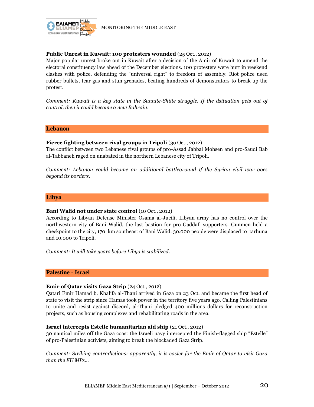

#### **Public Unrest in Kuwait: 100 protesters wounded** (25 Oct., 2012)

Major popular unrest broke out in Kuwait after a decision of the Amir of Kuwait to amend the electoral constituency law ahead of the December elections. 100 protesters were hurt in weekend clashes with police, defending the "universal right" to freedom of assembly. Riot police used rubber bullets, tear gas and stun grenades, beating hundreds of demonstrators to break up the protest.

*Comment: Kuwait is a key state in the Sunnite-Shiite struggle. If the dsituation gets out of control, then it could become a new Bahrain.*

#### **Lebanon**

#### **Fierce fighting between rival groups in Tripoli** (3o Oct., 2012)

The conflict between two Lebanese rival groups of pro-Assad Jabbal Mohsen and pro-Saudi Bab al-Tabbaneh raged on unabated in the northern Lebanese city of Tripoli.

*Comment: Lebanon could become an additional battleground if the Syrian civil war goes beyond its borders.*

#### **Libya**

#### **Bani Walid not under state control** (10 Oct., 2012)

According to Libyan Defense Minister Osama al-Jueili, Libyan army has no control over the northwestern city of Bani Walid, the last bastion for pro-Gaddafi supporters. Gunmen held a checkpoint to the city, 170 km southeast of Bani Walid. 30.000 people were displaced to tarhuna and 10.000 to Tripoli.

*Comment: It will take years before Libya is stabilized.*

#### **Palestine - Israel**

#### **Emir of Qatar visits Gaza Strip** (24 Oct., 2012)

Qatari Emir Hamad b. Khalifa al-Thani arrived in Gaza on 23 Oct. and became the first head of state to visit the strip since Hamas took power in the territory five years ago. Calling Palestinians to unite and resist against discord, al-Thani pledged 400 millions dollars for reconstruction projects, such as housing complexes and rehabilitating roads in the area.

#### **Israel intercepts Estelle humanitarian aid ship** (21 Oct., 2012)

30 nautical miles off the Gaza coast the Israeli navy intercepted the Finish-flagged ship "Estelle" of pro-Palestinian activists, aiming to break the blockaded Gaza Strip.

*Comment: Striking contradictions: apparently, it is easier for the Emir of Qatar to visit Gaza than the EU MPs…*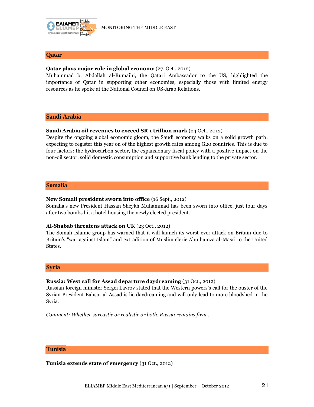

#### **Qatar**

#### **Qatar plays major role in global economy** (27, Oct., 2012)

Muhammad b. Abdallah al-Rumaihi, the Qatari Ambassador to the US, highlighted the importance of Qatar in supporting other economies, especially those with limited energy resources as he spoke at the National Council on US-Arab Relations.

#### **Saudi Arabia**

#### **Saudi Arabia oil revenues to exceed SR 1 trillion mark** (24 Oct., 2012)

Despite the ongoing global economic gloom, the Saudi economy walks on a solid growth path, expecting to register this year on of the highest growth rates among G20 countries. This is due to four factors: the hydrocarbon sector, the expansionary fiscal policy with a positive impact on the non-oil sector, solid domestic consumption and supportive bank lending to the private sector.

#### **Somalia**

#### **New Somali president sworn into office** (16 Sept., 2012)

Somalia's new President Hassan Sheykh Muhammad has been sworn into office, just four days after two bombs hit a hotel housing the newly elected president.

#### **Al-Shabab threatens attack on UK** (23 Oct., 2012)

The Somali Islamic group has warned that it will launch its worst-ever attack on Britain due to Britain's "war against Islam" and extradition of Muslim cleric Abu hamza al-Masri to the United States.

#### **Syria**

#### **Russia: West call for Assad departure daydreaming** (31 Oct., 2012)

Russian foreign minister Sergei Lavrov stated that the Western powers's call for the ouster of the Syrian President Bahsar al-Assad is lie daydreaming and will only lead to more bloodshed in the Syria.

*Comment: Whether sarcastic or realistic or both, Russia remains firm…*

#### **Tunisia**

**Tunisia extends state of emergency** (31 Oct., 2012)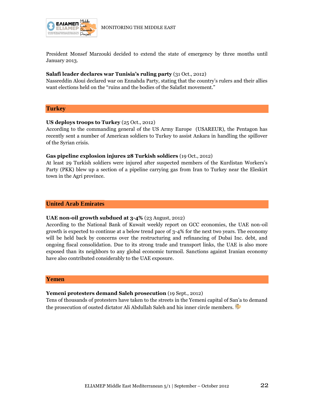

President Monsef Marzouki decided to extend the state of emergency by three months until January 2013.

#### **Salafi leader declares war Tunisia's ruling party** (31 Oct., 2012)

Nassreddin Aloui declared war on Ennahda Party, stating that the country's rulers and their allies want elections held on the "ruins and the bodies of the Salafist movement."

#### **Turkey**

#### **US deploys troops to Turkey** (25 Oct., 2012)

According to the commanding general of the US Army Europe (USAREUR), the Pentagon has recently sent a number of American soldiers to Turkey to assist Ankara in handling the spillover of the Syrian crisis.

#### **Gas pipeline explosion injures 28 Turkish soldiers** (19 Oct., 2012)

At least 29 Turkish soldiers were injured after suspected members of the Kurdistan Workers's Party (PKK) blew up a section of a pipeline carrying gas from Iran to Turkey near the Eleskirt town in the Agri province.

#### **United Arab Emirates**

#### **UAE non-oil growth subdued at 3-4%** (23 August, 2012)

According to the National Bank of Kuwait weekly report on GCC economies, the UAE non-oil growth is expected to continue at a below trend pace of 3-4% for the next two years. The economy will be held back by concerns over the restructuring and refinancing of Dubai Inc. debt, and ongoing fiscal consolidation. Due to its strong trade and transport links, the UAE is also more exposed than its neighbors to any global economic turmoil. Sanctions against Iranian economy have also contributed considerably to the UAE exposure.

#### **Yemen**

#### **Yemeni protesters demand Saleh prosecution** (19 Sept., 2012)

Tens of thousands of protesters have taken to the streets in the Yemeni capital of San'a to demand the prosecution of ousted dictator Ali Abdullah Saleh and his inner circle members.